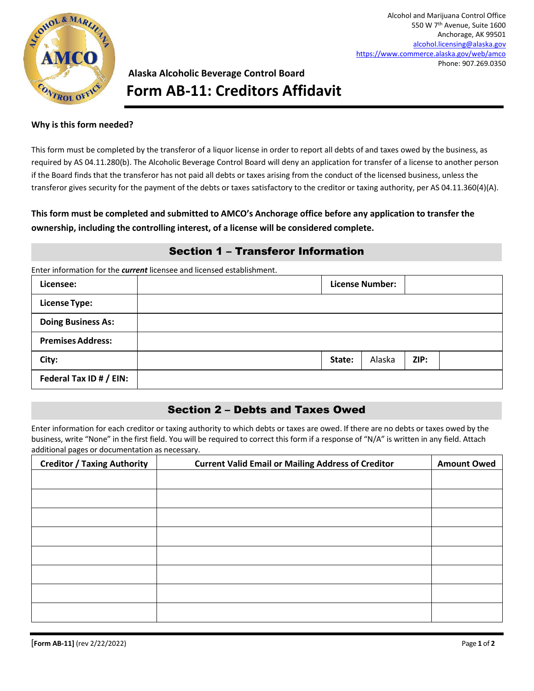

# **Alaska Alcoholic Beverage Control Board Form AB-11: Creditors Affidavit**

#### **Why is this form needed?**

This form must be completed by the transferor of a liquor license in order to report all debts of and taxes owed by the business, as required by AS 04.11.280(b). The Alcoholic Beverage Control Board will deny an application for transfer of a license to another person if the Board finds that the transferor has not paid all debts or taxes arising from the conduct of the licensed business, unless the transferor gives security for the payment of the debts or taxes satisfactory to the creditor or taxing authority, per AS 04.11.360(4)(A).

#### **This form must be completed and submitted to AMCO's Anchorage office before any application to transfer the ownership, including the controlling interest, of a license will be considered complete.**

## Section 1 – Transferor Information

Enter information for the *current* licensee and licensed establishment.

| Licensee:                 |        | <b>License Number:</b> |      |  |
|---------------------------|--------|------------------------|------|--|
| <b>License Type:</b>      |        |                        |      |  |
| <b>Doing Business As:</b> |        |                        |      |  |
| <b>Premises Address:</b>  |        |                        |      |  |
| City:                     | State: | Alaska                 | ZIP: |  |
| Federal Tax ID # / EIN:   |        |                        |      |  |

### Section 2 – Debts and Taxes Owed

Enter information for each creditor or taxing authority to which debts or taxes are owed. If there are no debts or taxes owed by the business, write "None" in the first field. You will be required to correct this form if a response of "N/A" is written in any field. Attach additional pages or documentation as necessary.

| <b>Creditor / Taxing Authority</b> | <b>Current Valid Email or Mailing Address of Creditor</b> | <b>Amount Owed</b> |
|------------------------------------|-----------------------------------------------------------|--------------------|
|                                    |                                                           |                    |
|                                    |                                                           |                    |
|                                    |                                                           |                    |
|                                    |                                                           |                    |
|                                    |                                                           |                    |
|                                    |                                                           |                    |
|                                    |                                                           |                    |
|                                    |                                                           |                    |
|                                    |                                                           |                    |